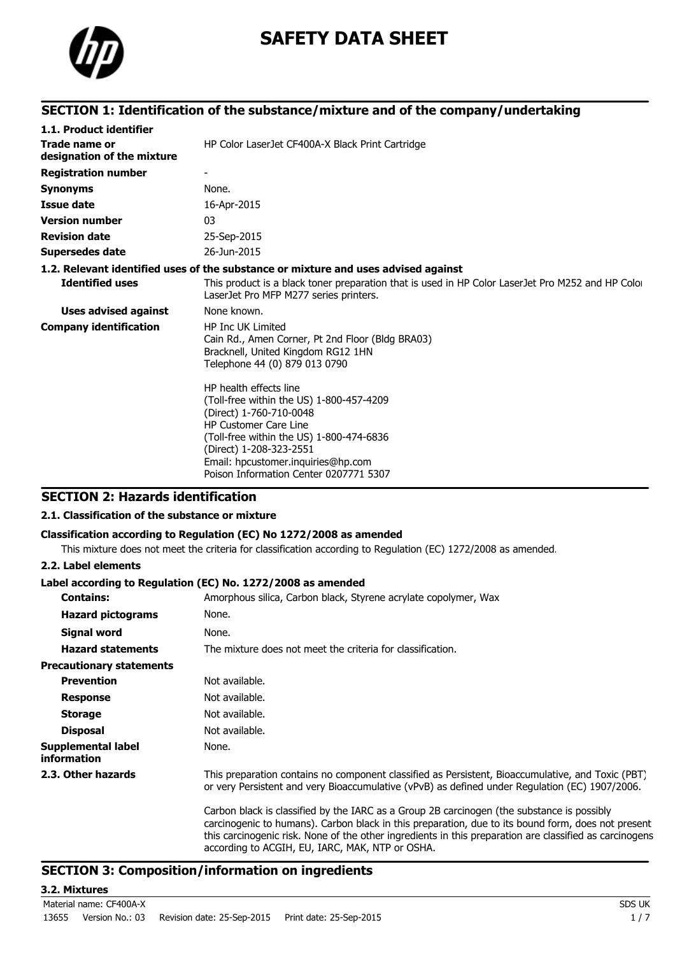

# **SAFETY DATA SHEET**

# **SECTION 1: Identification of the substance/mixture and of the company/undertaking**

| 1.1. Product identifier                     |                                                                                                                                                                                                                                                                                      |
|---------------------------------------------|--------------------------------------------------------------------------------------------------------------------------------------------------------------------------------------------------------------------------------------------------------------------------------------|
| Trade name or<br>designation of the mixture | HP Color LaserJet CF400A-X Black Print Cartridge                                                                                                                                                                                                                                     |
| <b>Registration number</b>                  |                                                                                                                                                                                                                                                                                      |
| <b>Synonyms</b>                             | None.                                                                                                                                                                                                                                                                                |
| <b>Issue date</b>                           | 16-Apr-2015                                                                                                                                                                                                                                                                          |
| <b>Version number</b>                       | 03                                                                                                                                                                                                                                                                                   |
| <b>Revision date</b>                        | 25-Sep-2015                                                                                                                                                                                                                                                                          |
| <b>Supersedes date</b>                      | 26-Jun-2015                                                                                                                                                                                                                                                                          |
|                                             | 1.2. Relevant identified uses of the substance or mixture and uses advised against                                                                                                                                                                                                   |
| <b>Identified uses</b>                      | This product is a black toner preparation that is used in HP Color LaserJet Pro M252 and HP Color<br>LaserJet Pro MFP M277 series printers.                                                                                                                                          |
| <b>Uses advised against</b>                 | None known.                                                                                                                                                                                                                                                                          |
| <b>Company identification</b>               | <b>HP Inc UK Limited</b><br>Cain Rd., Amen Corner, Pt 2nd Floor (Bldg BRA03)<br>Bracknell, United Kingdom RG12 1HN<br>Telephone 44 (0) 879 013 0790                                                                                                                                  |
|                                             | HP health effects line<br>(Toll-free within the US) 1-800-457-4209<br>(Direct) 1-760-710-0048<br><b>HP Customer Care Line</b><br>(Toll-free within the US) 1-800-474-6836<br>(Direct) 1-208-323-2551<br>Email: hpcustomer.inquiries@hp.com<br>Poison Information Center 0207771 5307 |

# **SECTION 2: Hazards identification**

### **2.1. Classification of the substance or mixture**

### **Classification according to Regulation (EC) No 1272/2008 as amended**

This mixture does not meet the criteria for classification according to Regulation (EC) 1272/2008 as amended.

#### **2.2. Label elements**

#### **Label according to Regulation (EC) No. 1272/2008 as amended**

| <b>Contains:</b>                                | Amorphous silica, Carbon black, Styrene acrylate copolymer, Wax                                                                                                                                                                                                                                                                                                |
|-------------------------------------------------|----------------------------------------------------------------------------------------------------------------------------------------------------------------------------------------------------------------------------------------------------------------------------------------------------------------------------------------------------------------|
| <b>Hazard pictograms</b>                        | None.                                                                                                                                                                                                                                                                                                                                                          |
| Signal word                                     | None.                                                                                                                                                                                                                                                                                                                                                          |
| <b>Hazard statements</b>                        | The mixture does not meet the criteria for classification.                                                                                                                                                                                                                                                                                                     |
| <b>Precautionary statements</b>                 |                                                                                                                                                                                                                                                                                                                                                                |
| <b>Prevention</b>                               | Not available.                                                                                                                                                                                                                                                                                                                                                 |
| <b>Response</b>                                 | Not available.                                                                                                                                                                                                                                                                                                                                                 |
| <b>Storage</b>                                  | Not available.                                                                                                                                                                                                                                                                                                                                                 |
| <b>Disposal</b>                                 | Not available.                                                                                                                                                                                                                                                                                                                                                 |
| <b>Supplemental label</b><br><i>information</i> | None.                                                                                                                                                                                                                                                                                                                                                          |
| 2.3. Other hazards                              | This preparation contains no component classified as Persistent, Bioaccumulative, and Toxic (PBT)<br>or very Persistent and very Bioaccumulative (vPvB) as defined under Regulation (EC) 1907/2006.                                                                                                                                                            |
|                                                 | Carbon black is classified by the IARC as a Group 2B carcinogen (the substance is possibly<br>carcinogenic to humans). Carbon black in this preparation, due to its bound form, does not present<br>this carcinogenic risk. None of the other ingredients in this preparation are classified as carcinogens<br>according to ACGIH, EU, IARC, MAK, NTP or OSHA. |

### **SECTION 3: Composition/information on ingredients**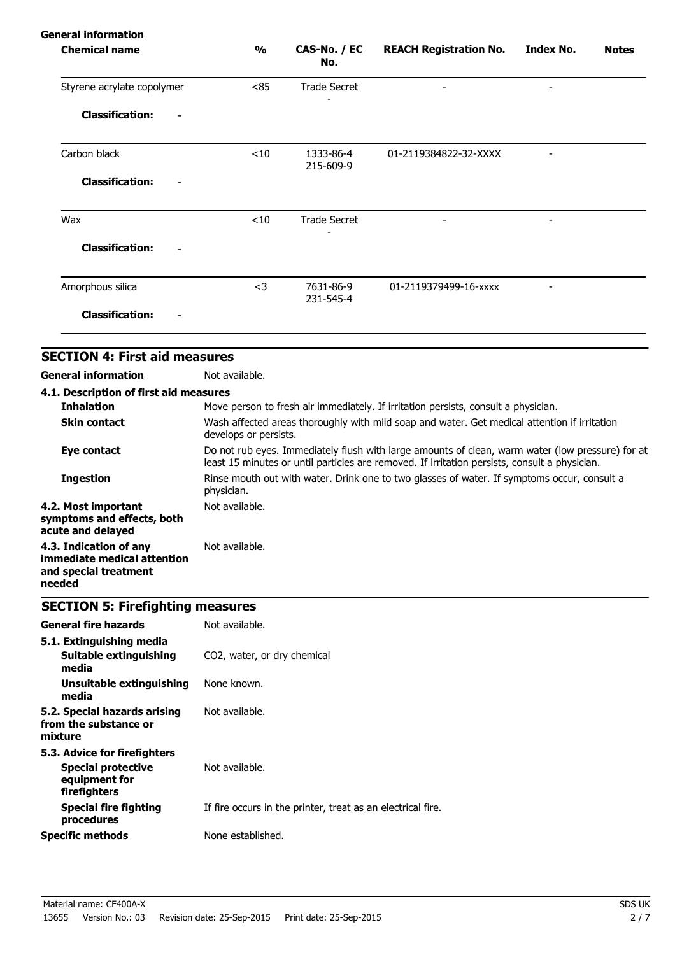# **General information**

| <b>Chemical name</b>                      | $\frac{1}{2}$ | CAS-No. / EC<br>No.    | <b>REACH Registration No.</b> | <b>Index No.</b>         | <b>Notes</b> |
|-------------------------------------------|---------------|------------------------|-------------------------------|--------------------------|--------------|
| Styrene acrylate copolymer                | <85           | <b>Trade Secret</b>    | $\overline{\phantom{a}}$      | $\overline{\phantom{a}}$ |              |
| <b>Classification:</b><br>$\qquad \qquad$ |               |                        |                               |                          |              |
| Carbon black                              | < 10          | 1333-86-4<br>215-609-9 | 01-2119384822-32-XXXX         |                          |              |
| <b>Classification:</b><br>-               |               |                        |                               |                          |              |
| Wax                                       | $<$ 10        | <b>Trade Secret</b>    | $\overline{a}$                |                          |              |
| <b>Classification:</b>                    |               |                        |                               |                          |              |
| Amorphous silica                          | $<$ 3         | 7631-86-9<br>231-545-4 | 01-2119379499-16-xxxx         |                          |              |
| <b>Classification:</b>                    |               |                        |                               |                          |              |

# **SECTION 4: First aid measures**

**General information** Not available.

| 4.1. Description of first aid measures                                                   |                                                                                                                                                                                                   |
|------------------------------------------------------------------------------------------|---------------------------------------------------------------------------------------------------------------------------------------------------------------------------------------------------|
| <b>Inhalation</b>                                                                        | Move person to fresh air immediately. If irritation persists, consult a physician.                                                                                                                |
| <b>Skin contact</b>                                                                      | Wash affected areas thoroughly with mild soap and water. Get medical attention if irritation<br>develops or persists.                                                                             |
| Eye contact                                                                              | Do not rub eyes. Immediately flush with large amounts of clean, warm water (low pressure) for at<br>least 15 minutes or until particles are removed. If irritation persists, consult a physician. |
| <b>Ingestion</b>                                                                         | Rinse mouth out with water. Drink one to two glasses of water. If symptoms occur, consult a<br>physician.                                                                                         |
| 4.2. Most important<br>symptoms and effects, both<br>acute and delayed                   | Not available.                                                                                                                                                                                    |
| 4.3. Indication of any<br>immediate medical attention<br>and special treatment<br>needed | Not available.                                                                                                                                                                                    |

# **SECTION 5: Firefighting measures**

| <b>General fire hazards</b>                                                                | Not available.                                              |
|--------------------------------------------------------------------------------------------|-------------------------------------------------------------|
| 5.1. Extinguishing media<br>Suitable extinguishing<br>media                                | CO2, water, or dry chemical                                 |
| Unsuitable extinguishing<br>media                                                          | None known.                                                 |
| 5.2. Special hazards arising<br>from the substance or<br>mixture                           | Not available.                                              |
| 5.3. Advice for firefighters<br><b>Special protective</b><br>equipment for<br>firefighters | Not available.                                              |
| Special fire fighting<br>procedures                                                        | If fire occurs in the printer, treat as an electrical fire. |
| <b>Specific methods</b>                                                                    | None established.                                           |
|                                                                                            |                                                             |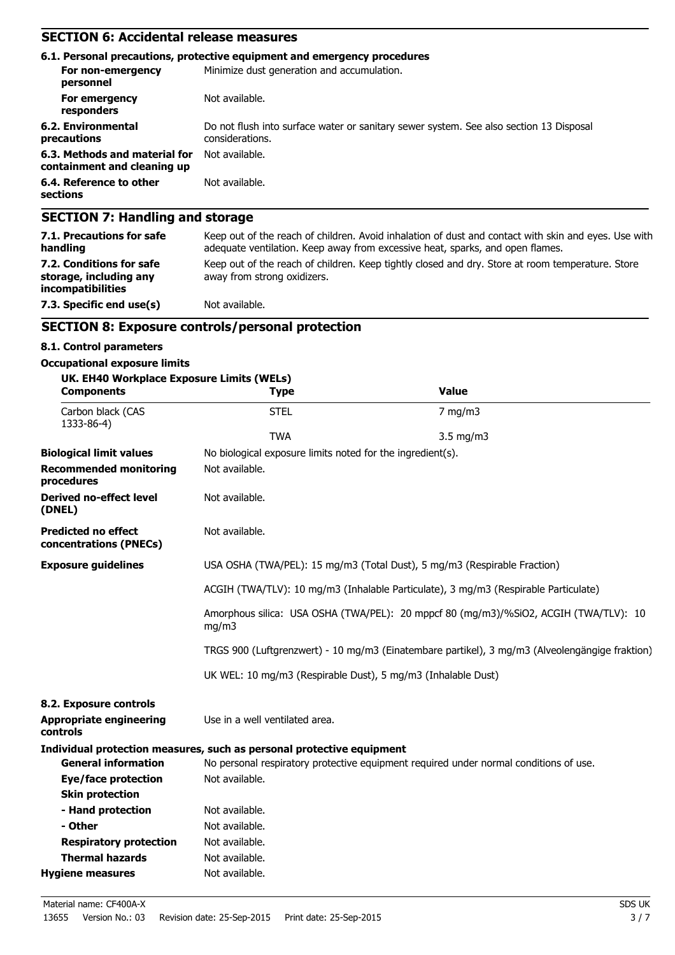# **SECTION 6: Accidental release measures**

|                                                              | 6.1. Personal precautions, protective equipment and emergency procedures                                  |
|--------------------------------------------------------------|-----------------------------------------------------------------------------------------------------------|
| For non-emergency<br>personnel                               | Minimize dust generation and accumulation.                                                                |
| For emergency<br>responders                                  | Not available.                                                                                            |
| 6.2. Environmental<br>precautions                            | Do not flush into surface water or sanitary sewer system. See also section 13 Disposal<br>considerations. |
| 6.3. Methods and material for<br>containment and cleaning up | Not available.                                                                                            |
| 6.4. Reference to other<br>sections                          | Not available.                                                                                            |
| <b>SECTION 7: Handling and storage</b>                       |                                                                                                           |

| <b>PLUITURY: Handhilly and Storage</b>                                                                                                                                                |
|---------------------------------------------------------------------------------------------------------------------------------------------------------------------------------------|
| Keep out of the reach of children. Avoid inhalation of dust and contact with skin and eyes. Use with<br>adequate ventilation. Keep away from excessive heat, sparks, and open flames. |
| Keep out of the reach of children. Keep tightly closed and dry. Store at room temperature. Store<br>away from strong oxidizers.                                                       |
| Not available.                                                                                                                                                                        |
|                                                                                                                                                                                       |

# **SECTION 8: Exposure controls/personal protection**

#### **8.1. Control parameters**

#### **Occupational exposure limits**

| UK. EH40 Workplace Exposure Limits (WELs)<br><b>Components</b> | <b>Type</b>                                                                                                                                                     | <b>Value</b>                                                                          |  |  |
|----------------------------------------------------------------|-----------------------------------------------------------------------------------------------------------------------------------------------------------------|---------------------------------------------------------------------------------------|--|--|
| Carbon black (CAS<br>1333-86-4)                                | <b>STEL</b>                                                                                                                                                     | $7$ mg/m $3$                                                                          |  |  |
|                                                                | <b>TWA</b>                                                                                                                                                      | $3.5 \text{ mg/m}$                                                                    |  |  |
| <b>Biological limit values</b>                                 | No biological exposure limits noted for the ingredient(s).                                                                                                      |                                                                                       |  |  |
| <b>Recommended monitoring</b><br>procedures                    | Not available.                                                                                                                                                  |                                                                                       |  |  |
| <b>Derived no-effect level</b><br>(DNEL)                       | Not available.                                                                                                                                                  |                                                                                       |  |  |
| <b>Predicted no effect</b><br>concentrations (PNECs)           | Not available.                                                                                                                                                  |                                                                                       |  |  |
| <b>Exposure guidelines</b>                                     | USA OSHA (TWA/PEL): 15 mg/m3 (Total Dust), 5 mg/m3 (Respirable Fraction)<br>ACGIH (TWA/TLV): 10 mg/m3 (Inhalable Particulate), 3 mg/m3 (Respirable Particulate) |                                                                                       |  |  |
|                                                                |                                                                                                                                                                 |                                                                                       |  |  |
|                                                                | Amorphous silica: USA OSHA (TWA/PEL): 20 mppcf 80 (mg/m3)/%SiO2, ACGIH (TWA/TLV): 10<br>mg/m3                                                                   |                                                                                       |  |  |
|                                                                | TRGS 900 (Luftgrenzwert) - 10 mg/m3 (Einatembare partikel), 3 mg/m3 (Alveolengängige fraktion)                                                                  |                                                                                       |  |  |
|                                                                | UK WEL: 10 mg/m3 (Respirable Dust), 5 mg/m3 (Inhalable Dust)                                                                                                    |                                                                                       |  |  |
| 8.2. Exposure controls                                         |                                                                                                                                                                 |                                                                                       |  |  |
| <b>Appropriate engineering</b><br>controls                     | Use in a well ventilated area.                                                                                                                                  |                                                                                       |  |  |
|                                                                | Individual protection measures, such as personal protective equipment                                                                                           |                                                                                       |  |  |
| <b>General information</b>                                     |                                                                                                                                                                 | No personal respiratory protective equipment required under normal conditions of use. |  |  |
| <b>Eye/face protection</b>                                     | Not available.                                                                                                                                                  |                                                                                       |  |  |
| <b>Skin protection</b>                                         |                                                                                                                                                                 |                                                                                       |  |  |
| - Hand protection                                              | Not available.                                                                                                                                                  |                                                                                       |  |  |
| - Other                                                        | Not available.                                                                                                                                                  |                                                                                       |  |  |
| <b>Respiratory protection</b>                                  | Not available.                                                                                                                                                  |                                                                                       |  |  |
| <b>Thermal hazards</b>                                         | Not available.                                                                                                                                                  |                                                                                       |  |  |
| <b>Hygiene measures</b>                                        | Not available.                                                                                                                                                  |                                                                                       |  |  |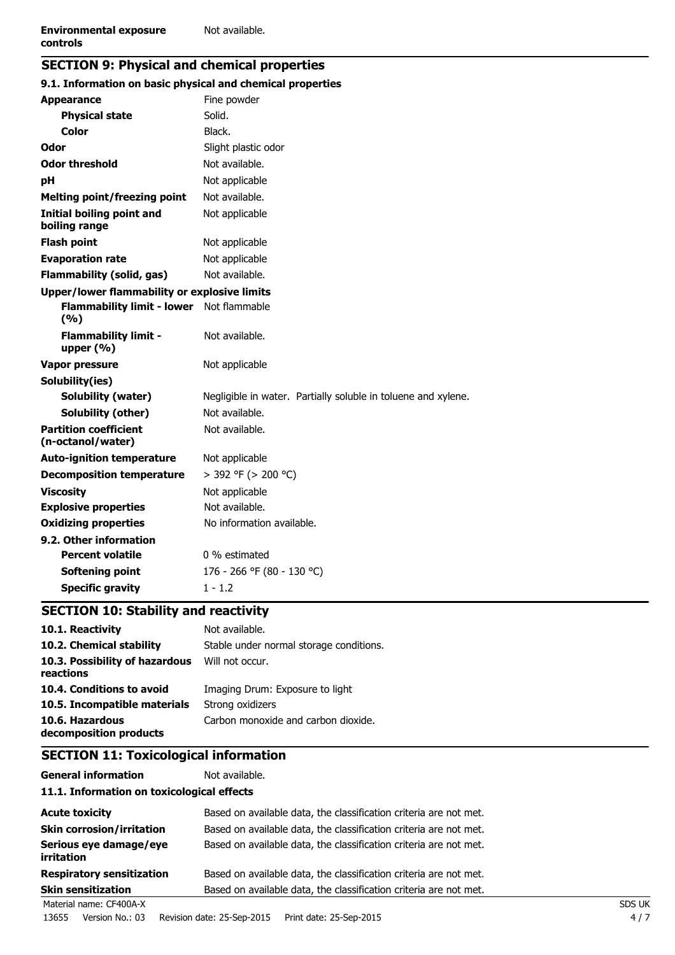# **SECTION 9: Physical and chemical properties**

| 9.1. Information on basic physical and chemical properties |                                                               |  |  |
|------------------------------------------------------------|---------------------------------------------------------------|--|--|
| <b>Appearance</b>                                          | Fine powder                                                   |  |  |
| <b>Physical state</b>                                      | Solid.                                                        |  |  |
| Color                                                      | Black.                                                        |  |  |
| Odor                                                       | Slight plastic odor                                           |  |  |
| <b>Odor threshold</b>                                      | Not available.                                                |  |  |
| рH                                                         | Not applicable                                                |  |  |
| <b>Melting point/freezing point</b>                        | Not available.                                                |  |  |
| Initial boiling point and<br>boiling range                 | Not applicable                                                |  |  |
| <b>Flash point</b>                                         | Not applicable                                                |  |  |
| <b>Evaporation rate</b>                                    | Not applicable                                                |  |  |
| <b>Flammability (solid, gas)</b>                           | Not available.                                                |  |  |
| Upper/lower flammability or explosive limits               |                                                               |  |  |
| <b>Flammability limit - lower</b><br>(9/6)                 | Not flammable                                                 |  |  |
| <b>Flammability limit -</b><br>upper $(\% )$               | Not available.                                                |  |  |
| <b>Vapor pressure</b>                                      | Not applicable                                                |  |  |
| Solubility(ies)                                            |                                                               |  |  |
| Solubility (water)                                         | Negligible in water. Partially soluble in toluene and xylene. |  |  |
| Solubility (other)                                         | Not available.                                                |  |  |
| <b>Partition coefficient</b><br>(n-octanol/water)          | Not available.                                                |  |  |
| <b>Auto-ignition temperature</b>                           | Not applicable                                                |  |  |
| <b>Decomposition temperature</b>                           | $>$ 392 °F ( $>$ 200 °C)                                      |  |  |
| <b>Viscosity</b>                                           | Not applicable                                                |  |  |
| <b>Explosive properties</b>                                | Not available.                                                |  |  |
| <b>Oxidizing properties</b>                                | No information available.                                     |  |  |
| 9.2. Other information                                     |                                                               |  |  |
| <b>Percent volatile</b>                                    | 0 % estimated                                                 |  |  |
| Softening point                                            | 176 - 266 °F (80 - 130 °C)                                    |  |  |
| <b>Specific gravity</b>                                    | $1 - 1.2$                                                     |  |  |

# **SECTION 10: Stability and reactivity**

| 10.1. Reactivity                            | Not available.                          |
|---------------------------------------------|-----------------------------------------|
| 10.2. Chemical stability                    | Stable under normal storage conditions. |
| 10.3. Possibility of hazardous<br>reactions | Will not occur.                         |
| 10.4. Conditions to avoid                   | Imaging Drum: Exposure to light         |
| 10.5. Incompatible materials                | Strong oxidizers                        |
| 10.6. Hazardous<br>decomposition products   | Carbon monoxide and carbon dioxide.     |

# **SECTION 11: Toxicological information**

#### **General information** Not available.

### **11.1. Information on toxicological effects**

| <b>Acute toxicity</b>                       | Based on available data, the classification criteria are not met. |               |
|---------------------------------------------|-------------------------------------------------------------------|---------------|
| <b>Skin corrosion/irritation</b>            | Based on available data, the classification criteria are not met. |               |
| Serious eye damage/eye<br><i>irritation</i> | Based on available data, the classification criteria are not met. |               |
| <b>Respiratory sensitization</b>            | Based on available data, the classification criteria are not met. |               |
| <b>Skin sensitization</b>                   | Based on available data, the classification criteria are not met. |               |
| Material name: CF400A-X                     |                                                                   | <b>SDS UK</b> |

13655 Version No.: 03 Revision date: 25-Sep-2015 Print date: 25-Sep-2015 4 / 7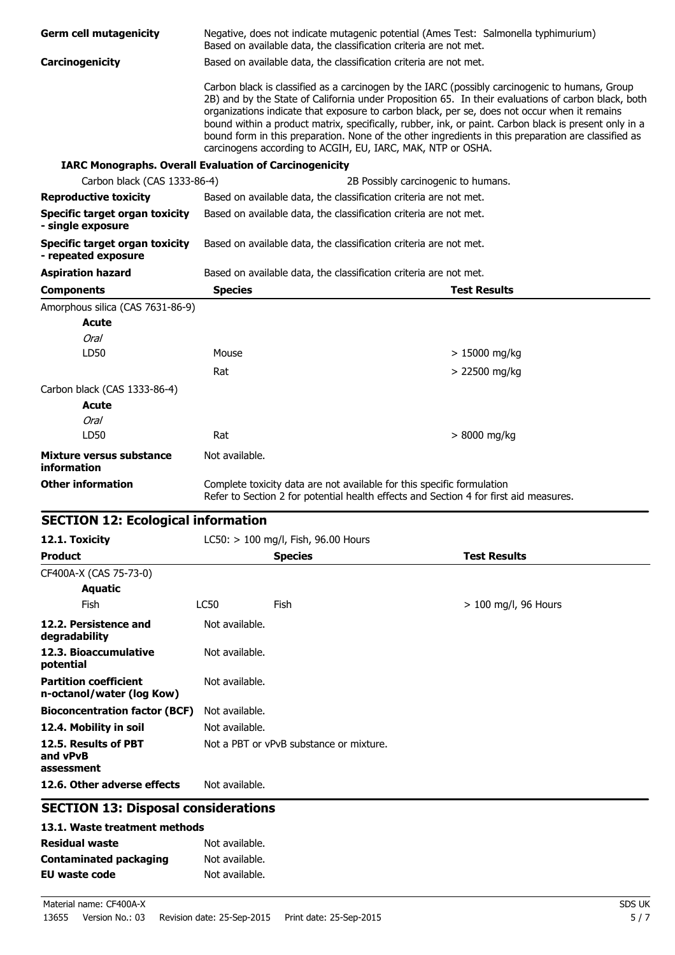| <b>Germ cell mutagenicity</b>                                             |                                                                   | Negative, does not indicate mutagenic potential (Ames Test: Salmonella typhimurium)<br>Based on available data, the classification criteria are not met.        |                                                                                                                                                                                                                                                                                                                                                                                                                       |
|---------------------------------------------------------------------------|-------------------------------------------------------------------|-----------------------------------------------------------------------------------------------------------------------------------------------------------------|-----------------------------------------------------------------------------------------------------------------------------------------------------------------------------------------------------------------------------------------------------------------------------------------------------------------------------------------------------------------------------------------------------------------------|
| Carcinogenicity                                                           | Based on available data, the classification criteria are not met. |                                                                                                                                                                 |                                                                                                                                                                                                                                                                                                                                                                                                                       |
|                                                                           |                                                                   | organizations indicate that exposure to carbon black, per se, does not occur when it remains<br>carcinogens according to ACGIH, EU, IARC, MAK, NTP or OSHA.     | Carbon black is classified as a carcinogen by the IARC (possibly carcinogenic to humans, Group<br>2B) and by the State of California under Proposition 65. In their evaluations of carbon black, both<br>bound within a product matrix, specifically, rubber, ink, or paint. Carbon black is present only in a<br>bound form in this preparation. None of the other ingredients in this preparation are classified as |
| <b>IARC Monographs. Overall Evaluation of Carcinogenicity</b>             |                                                                   |                                                                                                                                                                 |                                                                                                                                                                                                                                                                                                                                                                                                                       |
| Carbon black (CAS 1333-86-4)                                              |                                                                   | 2B Possibly carcinogenic to humans.                                                                                                                             |                                                                                                                                                                                                                                                                                                                                                                                                                       |
| <b>Reproductive toxicity</b>                                              |                                                                   | Based on available data, the classification criteria are not met.                                                                                               |                                                                                                                                                                                                                                                                                                                                                                                                                       |
| <b>Specific target organ toxicity</b><br>- single exposure                |                                                                   | Based on available data, the classification criteria are not met.                                                                                               |                                                                                                                                                                                                                                                                                                                                                                                                                       |
| Specific target organ toxicity<br>- repeated exposure                     |                                                                   | Based on available data, the classification criteria are not met.                                                                                               |                                                                                                                                                                                                                                                                                                                                                                                                                       |
| <b>Aspiration hazard</b>                                                  |                                                                   | Based on available data, the classification criteria are not met.                                                                                               |                                                                                                                                                                                                                                                                                                                                                                                                                       |
| <b>Components</b>                                                         | <b>Species</b>                                                    |                                                                                                                                                                 | <b>Test Results</b>                                                                                                                                                                                                                                                                                                                                                                                                   |
| Amorphous silica (CAS 7631-86-9)                                          |                                                                   |                                                                                                                                                                 |                                                                                                                                                                                                                                                                                                                                                                                                                       |
| <b>Acute</b>                                                              |                                                                   |                                                                                                                                                                 |                                                                                                                                                                                                                                                                                                                                                                                                                       |
| <b>Oral</b>                                                               |                                                                   |                                                                                                                                                                 |                                                                                                                                                                                                                                                                                                                                                                                                                       |
| LD50                                                                      | Mouse                                                             |                                                                                                                                                                 | $>15000$ mg/kg                                                                                                                                                                                                                                                                                                                                                                                                        |
|                                                                           | Rat                                                               |                                                                                                                                                                 | > 22500 mg/kg                                                                                                                                                                                                                                                                                                                                                                                                         |
| Carbon black (CAS 1333-86-4)                                              |                                                                   |                                                                                                                                                                 |                                                                                                                                                                                                                                                                                                                                                                                                                       |
| <b>Acute</b>                                                              |                                                                   |                                                                                                                                                                 |                                                                                                                                                                                                                                                                                                                                                                                                                       |
| <b>Oral</b>                                                               |                                                                   |                                                                                                                                                                 |                                                                                                                                                                                                                                                                                                                                                                                                                       |
| LD50                                                                      | Rat                                                               |                                                                                                                                                                 | > 8000 mg/kg                                                                                                                                                                                                                                                                                                                                                                                                          |
| Mixture versus substance<br>information                                   | Not available.                                                    |                                                                                                                                                                 |                                                                                                                                                                                                                                                                                                                                                                                                                       |
| <b>Other information</b>                                                  |                                                                   | Complete toxicity data are not available for this specific formulation<br>Refer to Section 2 for potential health effects and Section 4 for first aid measures. |                                                                                                                                                                                                                                                                                                                                                                                                                       |
| <b>SECTION 12: Ecological information</b>                                 |                                                                   |                                                                                                                                                                 |                                                                                                                                                                                                                                                                                                                                                                                                                       |
| 12.1. Toxicity                                                            |                                                                   | LC50: > 100 mg/l, Fish, 96.00 Hours                                                                                                                             |                                                                                                                                                                                                                                                                                                                                                                                                                       |
| <b>Product</b>                                                            |                                                                   | <b>Species</b>                                                                                                                                                  | <b>Test Results</b>                                                                                                                                                                                                                                                                                                                                                                                                   |
| CF400A-X (CAS 75-73-0)                                                    |                                                                   |                                                                                                                                                                 |                                                                                                                                                                                                                                                                                                                                                                                                                       |
| <b>Aquatic</b>                                                            |                                                                   |                                                                                                                                                                 |                                                                                                                                                                                                                                                                                                                                                                                                                       |
| Fish                                                                      | <b>LC50</b>                                                       | Fish                                                                                                                                                            | $> 100$ mg/l, 96 Hours                                                                                                                                                                                                                                                                                                                                                                                                |
| 12.2. Persistence and<br>degradability                                    | Not available.                                                    |                                                                                                                                                                 |                                                                                                                                                                                                                                                                                                                                                                                                                       |
| 12.3. Bioaccumulative<br>potential                                        | Not available.                                                    |                                                                                                                                                                 |                                                                                                                                                                                                                                                                                                                                                                                                                       |
| <b>Partition coefficient</b><br>n-octanol/water (log Kow)                 | Not available.                                                    |                                                                                                                                                                 |                                                                                                                                                                                                                                                                                                                                                                                                                       |
| <b>Bioconcentration factor (BCF)</b>                                      | Not available.                                                    |                                                                                                                                                                 |                                                                                                                                                                                                                                                                                                                                                                                                                       |
| 12.4. Mobility in soil                                                    | Not available.                                                    |                                                                                                                                                                 |                                                                                                                                                                                                                                                                                                                                                                                                                       |
| 12.5. Results of PBT<br>and vPvB                                          |                                                                   | Not a PBT or vPvB substance or mixture.                                                                                                                         |                                                                                                                                                                                                                                                                                                                                                                                                                       |
| assessment                                                                |                                                                   |                                                                                                                                                                 |                                                                                                                                                                                                                                                                                                                                                                                                                       |
| 12.6. Other adverse effects<br><b>SECTION 13: Disposal considerations</b> | Not available.                                                    |                                                                                                                                                                 |                                                                                                                                                                                                                                                                                                                                                                                                                       |
|                                                                           |                                                                   |                                                                                                                                                                 |                                                                                                                                                                                                                                                                                                                                                                                                                       |
| 13.1. Waste treatment methods                                             |                                                                   |                                                                                                                                                                 |                                                                                                                                                                                                                                                                                                                                                                                                                       |
| <b>Residual waste</b>                                                     | Not available.<br>Not available.                                  |                                                                                                                                                                 |                                                                                                                                                                                                                                                                                                                                                                                                                       |
| <b>Contaminated packaging</b><br><b>EU waste code</b>                     | Not available.                                                    |                                                                                                                                                                 |                                                                                                                                                                                                                                                                                                                                                                                                                       |
|                                                                           |                                                                   |                                                                                                                                                                 |                                                                                                                                                                                                                                                                                                                                                                                                                       |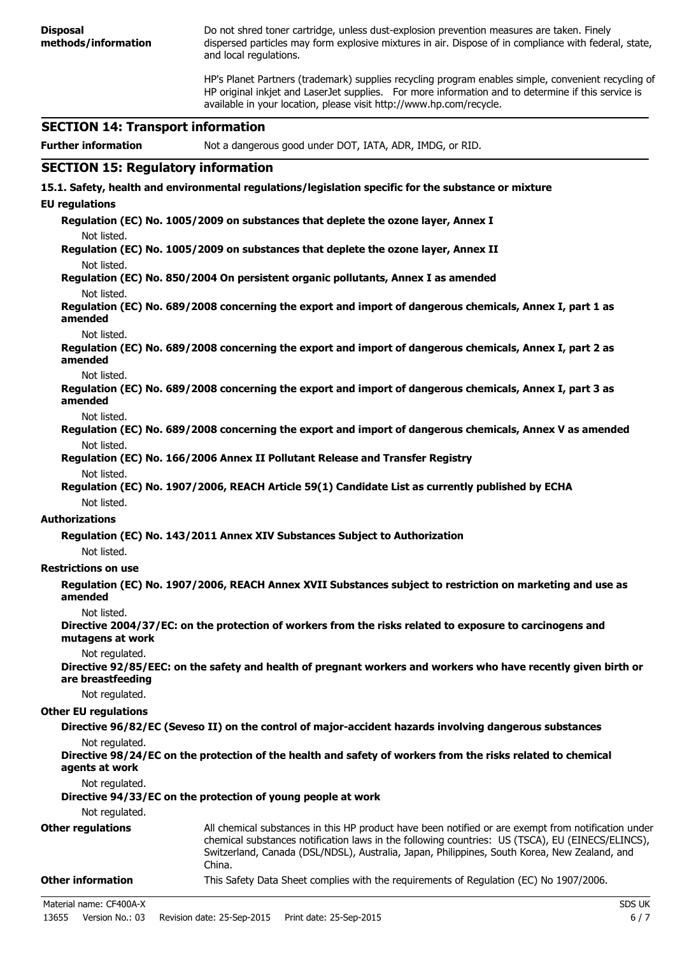**Disposal methods/information** Do not shred toner cartridge, unless dust-explosion prevention measures are taken. Finely dispersed particles may form explosive mixtures in air. Dispose of in compliance with federal, state, and local regulations. HP's Planet Partners (trademark) supplies recycling program enables simple, convenient recycling of HP original inkjet and LaserJet supplies. For more information and to determine if this service is available in your location, please visit http://www.hp.com/recycle. **SECTION 14: Transport information Further information** Not a dangerous good under DOT, IATA, ADR, IMDG, or RID. **SECTION 15: Regulatory information 15.1. Safety, health and environmental regulations/legislation specific for the substance or mixture EU regulations Regulation (EC) No. 1005/2009 on substances that deplete the ozone layer, Annex I** Not listed. **Regulation (EC) No. 1005/2009 on substances that deplete the ozone layer, Annex II** Not listed. **Regulation (EC) No. 850/2004 On persistent organic pollutants, Annex I as amended** Not listed. **Regulation (EC) No. 689/2008 concerning the export and import of dangerous chemicals, Annex I, part 1 as amended** Not listed. **Regulation (EC) No. 689/2008 concerning the export and import of dangerous chemicals, Annex I, part 2 as amended** Not listed. **Regulation (EC) No. 689/2008 concerning the export and import of dangerous chemicals, Annex I, part 3 as amended** Not listed. **Regulation (EC) No. 689/2008 concerning the export and import of dangerous chemicals, Annex V as amended** Not listed. **Regulation (EC) No. 166/2006 Annex II Pollutant Release and Transfer Registry** Not listed. **Regulation (EC) No. 1907/2006, REACH Article 59(1) Candidate List as currently published by ECHA** Not listed. **Authorizations Regulation (EC) No. 143/2011 Annex XIV Substances Subject to Authorization** Not listed. **Restrictions on use Regulation (EC) No. 1907/2006, REACH Annex XVII Substances subject to restriction on marketing and use as amended** Not listed. **Directive 2004/37/EC: on the protection of workers from the risks related to exposure to carcinogens and mutagens at work** Not regulated. **Directive 92/85/EEC: on the safety and health of pregnant workers and workers who have recently given birth or are breastfeeding** Not regulated. **Other EU regulations Directive 96/82/EC (Seveso II) on the control of major-accident hazards involving dangerous substances** Not regulated. **Directive 98/24/EC on the protection of the health and safety of workers from the risks related to chemical agents at work** Not regulated. **Directive 94/33/EC on the protection of young people at work** Not regulated. **Other regulations** All chemical substances in this HP product have been notified or are exempt from notification under chemical substances notification laws in the following countries: US (TSCA), EU (EINECS/ELINCS), Switzerland, Canada (DSL/NDSL), Australia, Japan, Philippines, South Korea, New Zealand, and China. **Other information** This Safety Data Sheet complies with the requirements of Regulation (EC) No 1907/2006. Material name: CF400A-X SDS UK